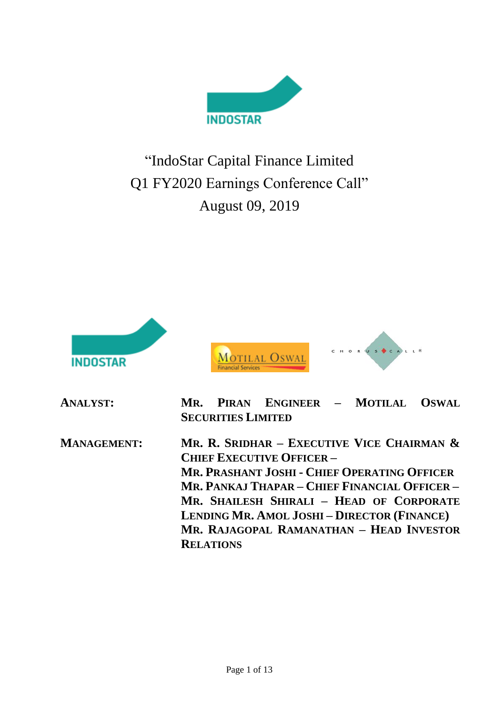

"IndoStar Capital Finance Limited Q1 FY2020 Earnings Conference Call" August 09, 2019



| <b>ANALYST:</b>    | PIRAN ENGINEER - MOTILAL OSWAL<br>MR.<br><b>SECURITIES LIMITED</b>                                                                                                                                                                                                                                                             |
|--------------------|--------------------------------------------------------------------------------------------------------------------------------------------------------------------------------------------------------------------------------------------------------------------------------------------------------------------------------|
| <b>MANAGEMENT:</b> | MR. R. SRIDHAR - EXECUTIVE VICE CHAIRMAN $\&$<br><b>CHIEF EXECUTIVE OFFICER -</b><br>MR. PRASHANT JOSHI - CHIEF OPERATING OFFICER<br>MR. PANKAJ THAPAR – CHIEF FINANCIAL OFFICER –<br>MR. SHAILESH SHIRALI - HEAD OF CORPORATE<br><b>LENDING MR. AMOL JOSHI-DIRECTOR (FINANCE)</b><br>MR. RAJAGOPAL RAMANATHAN - HEAD INVESTOR |
|                    | <b>RELATIONS</b>                                                                                                                                                                                                                                                                                                               |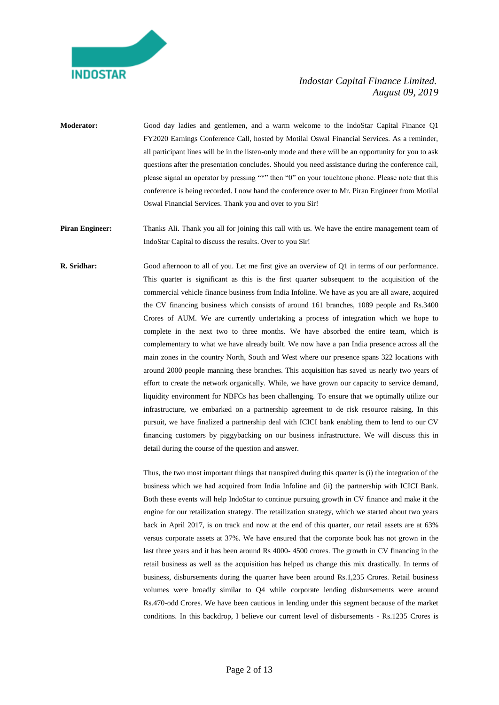

**Moderator:** Good day ladies and gentlemen, and a warm welcome to the IndoStar Capital Finance Q1 FY2020 Earnings Conference Call, hosted by Motilal Oswal Financial Services. As a reminder, all participant lines will be in the listen-only mode and there will be an opportunity for you to ask questions after the presentation concludes. Should you need assistance during the conference call, please signal an operator by pressing "\*" then "0" on your touchtone phone. Please note that this conference is being recorded. I now hand the conference over to Mr. Piran Engineer from Motilal Oswal Financial Services. Thank you and over to you Sir!

**Piran Engineer:** Thanks Ali. Thank you all for joining this call with us. We have the entire management team of IndoStar Capital to discuss the results. Over to you Sir!

**R. Sridhar:** Good afternoon to all of you. Let me first give an overview of Q1 in terms of our performance. This quarter is significant as this is the first quarter subsequent to the acquisition of the commercial vehicle finance business from India Infoline. We have as you are all aware, acquired the CV financing business which consists of around 161 branches, 1089 people and Rs.3400 Crores of AUM. We are currently undertaking a process of integration which we hope to complete in the next two to three months. We have absorbed the entire team, which is complementary to what we have already built. We now have a pan India presence across all the main zones in the country North, South and West where our presence spans 322 locations with around 2000 people manning these branches. This acquisition has saved us nearly two years of effort to create the network organically. While, we have grown our capacity to service demand, liquidity environment for NBFCs has been challenging. To ensure that we optimally utilize our infrastructure, we embarked on a partnership agreement to de risk resource raising. In this pursuit, we have finalized a partnership deal with ICICI bank enabling them to lend to our CV financing customers by piggybacking on our business infrastructure. We will discuss this in detail during the course of the question and answer.

> Thus, the two most important things that transpired during this quarter is (i) the integration of the business which we had acquired from India Infoline and (ii) the partnership with ICICI Bank. Both these events will help IndoStar to continue pursuing growth in CV finance and make it the engine for our retailization strategy. The retailization strategy, which we started about two years back in April 2017, is on track and now at the end of this quarter, our retail assets are at 63% versus corporate assets at 37%. We have ensured that the corporate book has not grown in the last three years and it has been around Rs 4000- 4500 crores. The growth in CV financing in the retail business as well as the acquisition has helped us change this mix drastically. In terms of business, disbursements during the quarter have been around Rs.1,235 Crores. Retail business volumes were broadly similar to Q4 while corporate lending disbursements were around Rs.470-odd Crores. We have been cautious in lending under this segment because of the market conditions. In this backdrop, I believe our current level of disbursements - Rs.1235 Crores is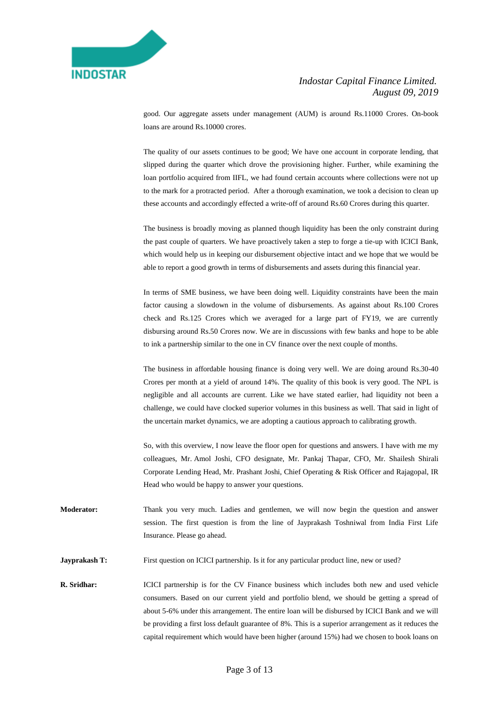

good. Our aggregate assets under management (AUM) is around Rs.11000 Crores. On-book loans are around Rs.10000 crores.

The quality of our assets continues to be good; We have one account in corporate lending, that slipped during the quarter which drove the provisioning higher. Further, while examining the loan portfolio acquired from IIFL, we had found certain accounts where collections were not up to the mark for a protracted period. After a thorough examination, we took a decision to clean up these accounts and accordingly effected a write-off of around Rs.60 Crores during this quarter.

The business is broadly moving as planned though liquidity has been the only constraint during the past couple of quarters. We have proactively taken a step to forge a tie-up with ICICI Bank, which would help us in keeping our disbursement objective intact and we hope that we would be able to report a good growth in terms of disbursements and assets during this financial year.

In terms of SME business, we have been doing well. Liquidity constraints have been the main factor causing a slowdown in the volume of disbursements. As against about Rs.100 Crores check and Rs.125 Crores which we averaged for a large part of FY19, we are currently disbursing around Rs.50 Crores now. We are in discussions with few banks and hope to be able to ink a partnership similar to the one in CV finance over the next couple of months.

The business in affordable housing finance is doing very well. We are doing around Rs.30-40 Crores per month at a yield of around 14%. The quality of this book is very good. The NPL is negligible and all accounts are current. Like we have stated earlier, had liquidity not been a challenge, we could have clocked superior volumes in this business as well. That said in light of the uncertain market dynamics, we are adopting a cautious approach to calibrating growth.

So, with this overview, I now leave the floor open for questions and answers. I have with me my colleagues, Mr. Amol Joshi, CFO designate, Mr. Pankaj Thapar, CFO, Mr. Shailesh Shirali Corporate Lending Head, Mr. Prashant Joshi, Chief Operating & Risk Officer and Rajagopal, IR Head who would be happy to answer your questions.

- **Moderator:** Thank you very much. Ladies and gentlemen, we will now begin the question and answer session. The first question is from the line of Jayprakash Toshniwal from India First Life Insurance. Please go ahead.
- **Jayprakash T:** First question on ICICI partnership. Is it for any particular product line, new or used?
- **R. Sridhar:** ICICI partnership is for the CV Finance business which includes both new and used vehicle consumers. Based on our current yield and portfolio blend, we should be getting a spread of about 5-6% under this arrangement. The entire loan will be disbursed by ICICI Bank and we will be providing a first loss default guarantee of 8%. This is a superior arrangement as it reduces the capital requirement which would have been higher (around 15%) had we chosen to book loans on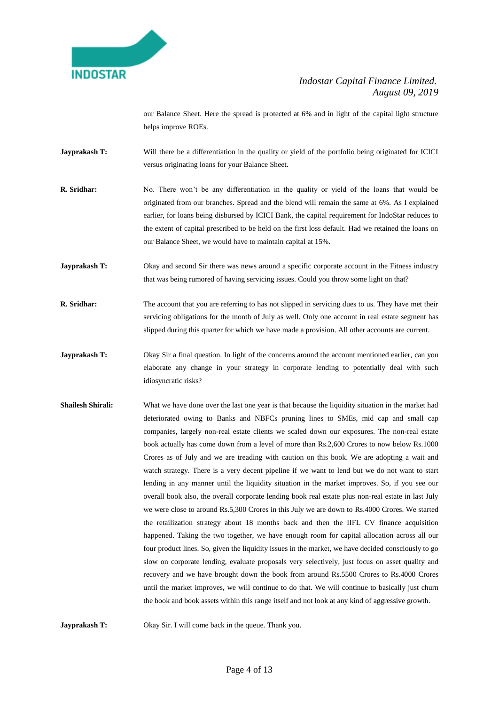

our Balance Sheet. Here the spread is protected at 6% and in light of the capital light structure helps improve ROEs.

- **Jayprakash T:** Will there be a differentiation in the quality or yield of the portfolio being originated for ICICI versus originating loans for your Balance Sheet.
- **R. Sridhar:** No. There won't be any differentiation in the quality or yield of the loans that would be originated from our branches. Spread and the blend will remain the same at 6%. As I explained earlier, for loans being disbursed by ICICI Bank, the capital requirement for IndoStar reduces to the extent of capital prescribed to be held on the first loss default. Had we retained the loans on our Balance Sheet, we would have to maintain capital at 15%.
- **Jayprakash T:** Okay and second Sir there was news around a specific corporate account in the Fitness industry that was being rumored of having servicing issues. Could you throw some light on that?
- **R. Sridhar:** The account that you are referring to has not slipped in servicing dues to us. They have met their servicing obligations for the month of July as well. Only one account in real estate segment has slipped during this quarter for which we have made a provision. All other accounts are current.
- **Jayprakash T:** Okay Sir a final question. In light of the concerns around the account mentioned earlier, can you elaborate any change in your strategy in corporate lending to potentially deal with such idiosyncratic risks?
- **Shailesh Shirali:** What we have done over the last one year is that because the liquidity situation in the market had deteriorated owing to Banks and NBFCs pruning lines to SMEs, mid cap and small cap companies, largely non-real estate clients we scaled down our exposures. The non-real estate book actually has come down from a level of more than Rs.2,600 Crores to now below Rs.1000 Crores as of July and we are treading with caution on this book. We are adopting a wait and watch strategy. There is a very decent pipeline if we want to lend but we do not want to start lending in any manner until the liquidity situation in the market improves. So, if you see our overall book also, the overall corporate lending book real estate plus non-real estate in last July we were close to around Rs.5,300 Crores in this July we are down to Rs.4000 Crores. We started the retailization strategy about 18 months back and then the IIFL CV finance acquisition happened. Taking the two together, we have enough room for capital allocation across all our four product lines. So, given the liquidity issues in the market, we have decided consciously to go slow on corporate lending, evaluate proposals very selectively, just focus on asset quality and recovery and we have brought down the book from around Rs.5500 Crores to Rs.4000 Crores until the market improves, we will continue to do that. We will continue to basically just churn the book and book assets within this range itself and not look at any kind of aggressive growth.

**Jayprakash T:** Okay Sir. I will come back in the queue. Thank you.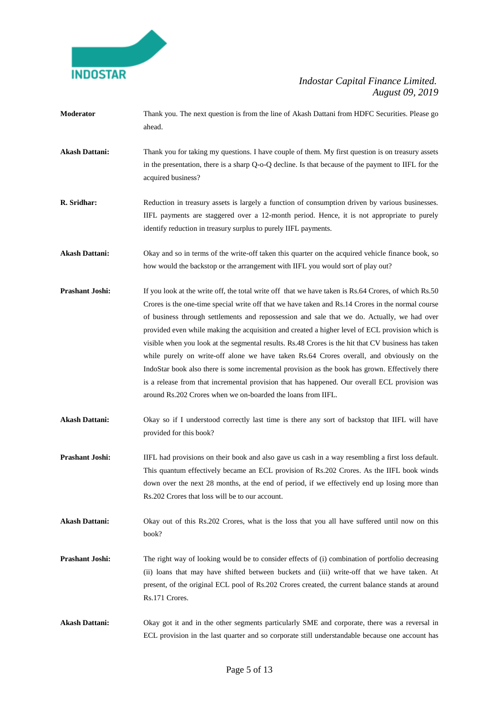

- **Moderator** Thank you. The next question is from the line of Akash Dattani from HDFC Securities. Please go ahead.
- **Akash Dattani:** Thank you for taking my questions. I have couple of them. My first question is on treasury assets in the presentation, there is a sharp Q-o-Q decline. Is that because of the payment to IIFL for the acquired business?
- **R. Sridhar:** Reduction in treasury assets is largely a function of consumption driven by various businesses. IIFL payments are staggered over a 12-month period. Hence, it is not appropriate to purely identify reduction in treasury surplus to purely IIFL payments.
- Akash Dattani: Okay and so in terms of the write-off taken this quarter on the acquired vehicle finance book, so how would the backstop or the arrangement with IIFL you would sort of play out?
- **Prashant Joshi:** If you look at the write off, the total write off that we have taken is Rs.64 Crores, of which Rs.50 Crores is the one-time special write off that we have taken and Rs.14 Crores in the normal course of business through settlements and repossession and sale that we do. Actually, we had over provided even while making the acquisition and created a higher level of ECL provision which is visible when you look at the segmental results. Rs.48 Crores is the hit that CV business has taken while purely on write-off alone we have taken Rs.64 Crores overall, and obviously on the IndoStar book also there is some incremental provision as the book has grown. Effectively there is a release from that incremental provision that has happened. Our overall ECL provision was around Rs.202 Crores when we on-boarded the loans from IIFL.
- Akash Dattani: Okay so if I understood correctly last time is there any sort of backstop that IIFL will have provided for this book?
- **Prashant Joshi:** IIFL had provisions on their book and also gave us cash in a way resembling a first loss default. This quantum effectively became an ECL provision of Rs.202 Crores. As the IIFL book winds down over the next 28 months, at the end of period, if we effectively end up losing more than Rs.202 Crores that loss will be to our account.
- **Akash Dattani:** Okay out of this Rs.202 Crores, what is the loss that you all have suffered until now on this book?
- **Prashant Joshi:** The right way of looking would be to consider effects of (i) combination of portfolio decreasing (ii) loans that may have shifted between buckets and (iii) write-off that we have taken. At present, of the original ECL pool of Rs.202 Crores created, the current balance stands at around Rs.171 Crores.
- **Akash Dattani:** Okay got it and in the other segments particularly SME and corporate, there was a reversal in ECL provision in the last quarter and so corporate still understandable because one account has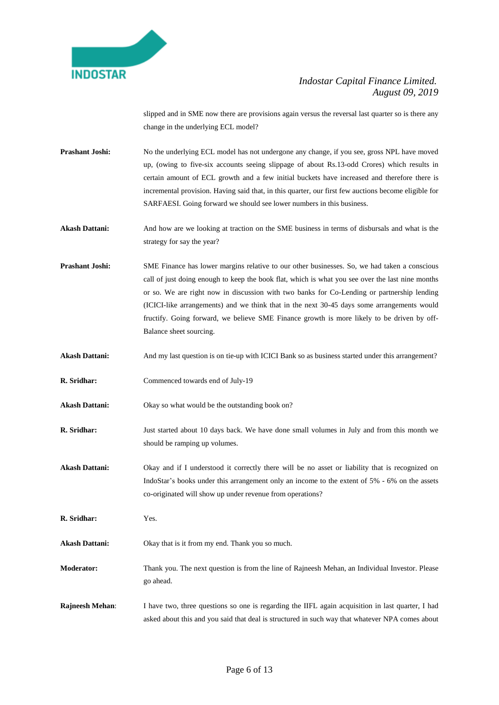

slipped and in SME now there are provisions again versus the reversal last quarter so is there any change in the underlying ECL model?

- **Prashant Joshi:** No the underlying ECL model has not undergone any change, if you see, gross NPL have moved up, (owing to five-six accounts seeing slippage of about Rs.13-odd Crores) which results in certain amount of ECL growth and a few initial buckets have increased and therefore there is incremental provision. Having said that, in this quarter, our first few auctions become eligible for SARFAESI. Going forward we should see lower numbers in this business.
- **Akash Dattani:** And how are we looking at traction on the SME business in terms of disbursals and what is the strategy for say the year?
- **Prashant Joshi:** SME Finance has lower margins relative to our other businesses. So, we had taken a conscious call of just doing enough to keep the book flat, which is what you see over the last nine months or so. We are right now in discussion with two banks for Co-Lending or partnership lending (ICICI-like arrangements) and we think that in the next 30-45 days some arrangements would fructify. Going forward, we believe SME Finance growth is more likely to be driven by off-Balance sheet sourcing.
- Akash Dattani: And my last question is on tie-up with ICICI Bank so as business started under this arrangement?
- **R. Sridhar:** Commenced towards end of July-19
- Akash Dattani: Okay so what would be the outstanding book on?
- **R. Sridhar:** Just started about 10 days back. We have done small volumes in July and from this month we should be ramping up volumes.
- Akash Dattani: Okay and if I understood it correctly there will be no asset or liability that is recognized on IndoStar's books under this arrangement only an income to the extent of 5% - 6% on the assets co-originated will show up under revenue from operations?
- **R. Sridhar:** Yes.
- **Akash Dattani:** Okay that is it from my end. Thank you so much.
- **Moderator:** Thank you. The next question is from the line of Rajneesh Mehan, an Individual Investor. Please go ahead.
- **Rajneesh Mehan**: I have two, three questions so one is regarding the IIFL again acquisition in last quarter, I had asked about this and you said that deal is structured in such way that whatever NPA comes about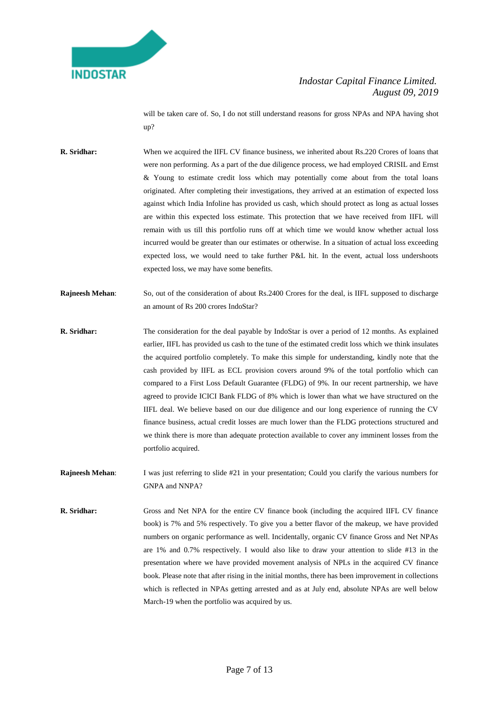

will be taken care of. So, I do not still understand reasons for gross NPAs and NPA having shot up?

**R. Sridhar:** When we acquired the IIFL CV finance business, we inherited about Rs.220 Crores of loans that were non performing. As a part of the due diligence process, we had employed CRISIL and Ernst & Young to estimate credit loss which may potentially come about from the total loans originated. After completing their investigations, they arrived at an estimation of expected loss against which India Infoline has provided us cash, which should protect as long as actual losses are within this expected loss estimate. This protection that we have received from IIFL will remain with us till this portfolio runs off at which time we would know whether actual loss incurred would be greater than our estimates or otherwise. In a situation of actual loss exceeding expected loss, we would need to take further P&L hit. In the event, actual loss undershoots expected loss, we may have some benefits.

**Rajneesh Mehan:** So, out of the consideration of about Rs.2400 Crores for the deal, is IIFL supposed to discharge an amount of Rs 200 crores IndoStar?

**R. Sridhar:** The consideration for the deal payable by IndoStar is over a period of 12 months. As explained earlier, IIFL has provided us cash to the tune of the estimated credit loss which we think insulates the acquired portfolio completely. To make this simple for understanding, kindly note that the cash provided by IIFL as ECL provision covers around 9% of the total portfolio which can compared to a First Loss Default Guarantee (FLDG) of 9%. In our recent partnership, we have agreed to provide ICICI Bank FLDG of 8% which is lower than what we have structured on the IIFL deal. We believe based on our due diligence and our long experience of running the CV finance business, actual credit losses are much lower than the FLDG protections structured and we think there is more than adequate protection available to cover any imminent losses from the portfolio acquired.

**Rajneesh Mehan:** I was just referring to slide #21 in your presentation; Could you clarify the various numbers for GNPA and NNPA?

**R. Sridhar:** Gross and Net NPA for the entire CV finance book (including the acquired IIFL CV finance book) is 7% and 5% respectively. To give you a better flavor of the makeup, we have provided numbers on organic performance as well. Incidentally, organic CV finance Gross and Net NPAs are 1% and 0.7% respectively. I would also like to draw your attention to slide #13 in the presentation where we have provided movement analysis of NPLs in the acquired CV finance book. Please note that after rising in the initial months, there has been improvement in collections which is reflected in NPAs getting arrested and as at July end, absolute NPAs are well below March-19 when the portfolio was acquired by us.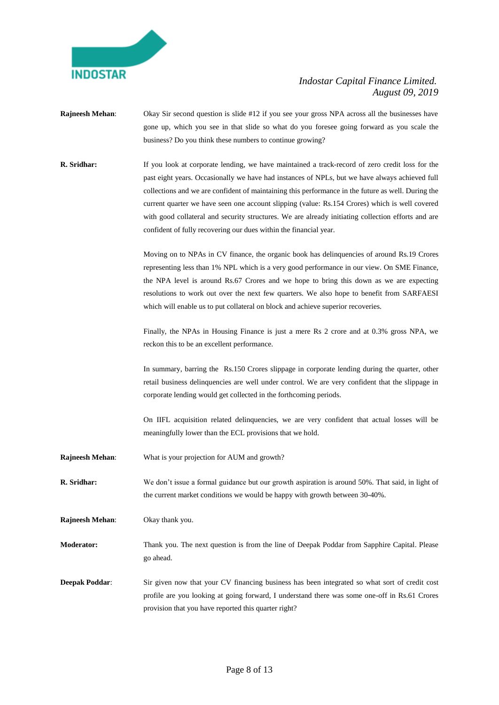

- **Rajneesh Mehan**: Okay Sir second question is slide #12 if you see your gross NPA across all the businesses have gone up, which you see in that slide so what do you foresee going forward as you scale the business? Do you think these numbers to continue growing?
- **R. Sridhar:** If you look at corporate lending, we have maintained a track-record of zero credit loss for the past eight years. Occasionally we have had instances of NPLs, but we have always achieved full collections and we are confident of maintaining this performance in the future as well. During the current quarter we have seen one account slipping (value: Rs.154 Crores) which is well covered with good collateral and security structures. We are already initiating collection efforts and are confident of fully recovering our dues within the financial year.

Moving on to NPAs in CV finance, the organic book has delinquencies of around Rs.19 Crores representing less than 1% NPL which is a very good performance in our view. On SME Finance, the NPA level is around Rs.67 Crores and we hope to bring this down as we are expecting resolutions to work out over the next few quarters. We also hope to benefit from SARFAESI which will enable us to put collateral on block and achieve superior recoveries.

Finally, the NPAs in Housing Finance is just a mere Rs 2 crore and at 0.3% gross NPA, we reckon this to be an excellent performance.

In summary, barring the Rs.150 Crores slippage in corporate lending during the quarter, other retail business delinquencies are well under control. We are very confident that the slippage in corporate lending would get collected in the forthcoming periods.

On IIFL acquisition related delinquencies, we are very confident that actual losses will be meaningfully lower than the ECL provisions that we hold.

**Rajneesh Mehan**: What is your projection for AUM and growth?

**R. Sridhar:** We don't issue a formal guidance but our growth aspiration is around 50%. That said, in light of the current market conditions we would be happy with growth between 30-40%.

**Rajneesh Mehan**: Okay thank you.

**Moderator:** Thank you. The next question is from the line of Deepak Poddar from Sapphire Capital. Please go ahead.

**Deepak Poddar:** Sir given now that your CV financing business has been integrated so what sort of credit cost profile are you looking at going forward, I understand there was some one-off in Rs.61 Crores provision that you have reported this quarter right?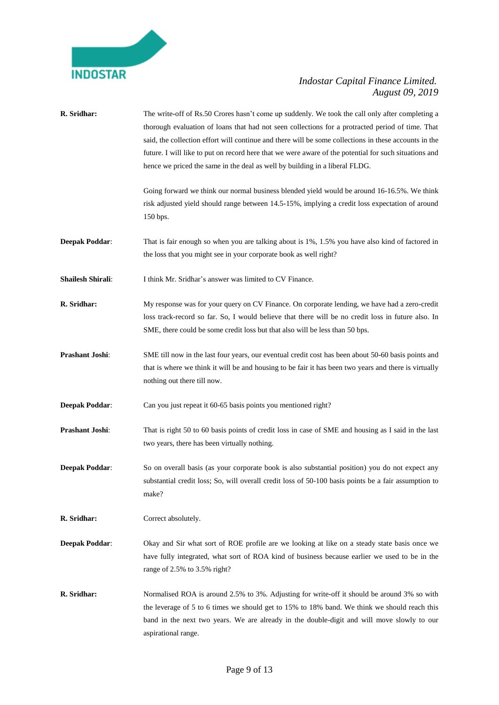

| R. Sridhar:              | The write-off of Rs.50 Crores hasn't come up suddenly. We took the call only after completing a<br>thorough evaluation of loans that had not seen collections for a protracted period of time. That<br>said, the collection effort will continue and there will be some collections in these accounts in the<br>future. I will like to put on record here that we were aware of the potential for such situations and<br>hence we priced the same in the deal as well by building in a liberal FLDG. |
|--------------------------|------------------------------------------------------------------------------------------------------------------------------------------------------------------------------------------------------------------------------------------------------------------------------------------------------------------------------------------------------------------------------------------------------------------------------------------------------------------------------------------------------|
|                          | Going forward we think our normal business blended yield would be around 16-16.5%. We think<br>risk adjusted yield should range between 14.5-15%, implying a credit loss expectation of around<br>150 bps.                                                                                                                                                                                                                                                                                           |
| <b>Deepak Poddar:</b>    | That is fair enough so when you are talking about is 1%, 1.5% you have also kind of factored in<br>the loss that you might see in your corporate book as well right?                                                                                                                                                                                                                                                                                                                                 |
| <b>Shailesh Shirali:</b> | I think Mr. Sridhar's answer was limited to CV Finance.                                                                                                                                                                                                                                                                                                                                                                                                                                              |
| R. Sridhar:              | My response was for your query on CV Finance. On corporate lending, we have had a zero-credit<br>loss track-record so far. So, I would believe that there will be no credit loss in future also. In<br>SME, there could be some credit loss but that also will be less than 50 bps.                                                                                                                                                                                                                  |
| Prashant Joshi:          | SME till now in the last four years, our eventual credit cost has been about 50-60 basis points and<br>that is where we think it will be and housing to be fair it has been two years and there is virtually<br>nothing out there till now.                                                                                                                                                                                                                                                          |
| <b>Deepak Poddar:</b>    | Can you just repeat it 60-65 basis points you mentioned right?                                                                                                                                                                                                                                                                                                                                                                                                                                       |
| Prashant Joshi:          | That is right 50 to 60 basis points of credit loss in case of SME and housing as I said in the last<br>two years, there has been virtually nothing.                                                                                                                                                                                                                                                                                                                                                  |
| <b>Deepak Poddar:</b>    | So on overall basis (as your corporate book is also substantial position) you do not expect any<br>substantial credit loss; So, will overall credit loss of 50-100 basis points be a fair assumption to<br>make?                                                                                                                                                                                                                                                                                     |
| R. Sridhar:              | Correct absolutely.                                                                                                                                                                                                                                                                                                                                                                                                                                                                                  |
| <b>Deepak Poddar:</b>    | Okay and Sir what sort of ROE profile are we looking at like on a steady state basis once we<br>have fully integrated, what sort of ROA kind of business because earlier we used to be in the<br>range of 2.5% to 3.5% right?                                                                                                                                                                                                                                                                        |
| R. Sridhar:              | Normalised ROA is around 2.5% to 3%. Adjusting for write-off it should be around 3% so with<br>the leverage of 5 to 6 times we should get to 15% to 18% band. We think we should reach this<br>band in the next two years. We are already in the double-digit and will move slowly to our<br>aspirational range.                                                                                                                                                                                     |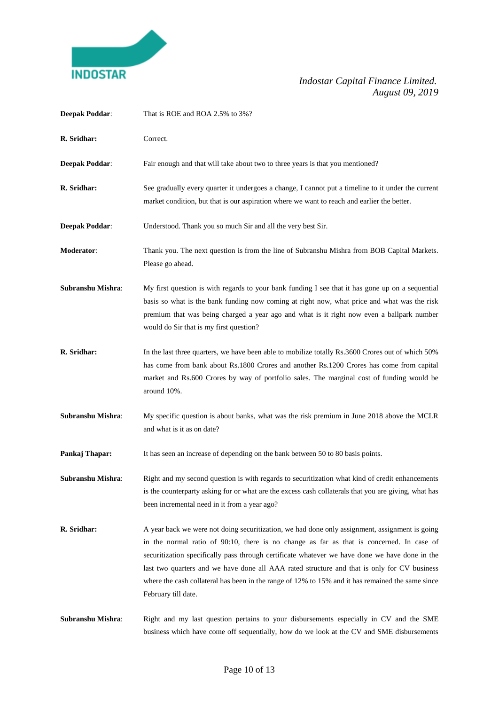

| <b>Deepak Poddar:</b> | That is ROE and ROA 2.5% to 3%?                                                                                                                                                                                                                                                                                                                                                                                                                                                                                        |
|-----------------------|------------------------------------------------------------------------------------------------------------------------------------------------------------------------------------------------------------------------------------------------------------------------------------------------------------------------------------------------------------------------------------------------------------------------------------------------------------------------------------------------------------------------|
| R. Sridhar:           | Correct.                                                                                                                                                                                                                                                                                                                                                                                                                                                                                                               |
| <b>Deepak Poddar:</b> | Fair enough and that will take about two to three years is that you mentioned?                                                                                                                                                                                                                                                                                                                                                                                                                                         |
| R. Sridhar:           | See gradually every quarter it undergoes a change, I cannot put a timeline to it under the current<br>market condition, but that is our aspiration where we want to reach and earlier the better.                                                                                                                                                                                                                                                                                                                      |
| <b>Deepak Poddar:</b> | Understood. Thank you so much Sir and all the very best Sir.                                                                                                                                                                                                                                                                                                                                                                                                                                                           |
| Moderator:            | Thank you. The next question is from the line of Subranshu Mishra from BOB Capital Markets.<br>Please go ahead.                                                                                                                                                                                                                                                                                                                                                                                                        |
| Subranshu Mishra:     | My first question is with regards to your bank funding I see that it has gone up on a sequential<br>basis so what is the bank funding now coming at right now, what price and what was the risk<br>premium that was being charged a year ago and what is it right now even a ballpark number<br>would do Sir that is my first question?                                                                                                                                                                                |
| R. Sridhar:           | In the last three quarters, we have been able to mobilize totally Rs.3600 Crores out of which 50%<br>has come from bank about Rs.1800 Crores and another Rs.1200 Crores has come from capital<br>market and Rs.600 Crores by way of portfolio sales. The marginal cost of funding would be<br>around 10%.                                                                                                                                                                                                              |
| Subranshu Mishra:     | My specific question is about banks, what was the risk premium in June 2018 above the MCLR<br>and what is it as on date?                                                                                                                                                                                                                                                                                                                                                                                               |
| Pankaj Thapar:        | It has seen an increase of depending on the bank between 50 to 80 basis points.                                                                                                                                                                                                                                                                                                                                                                                                                                        |
| Subranshu Mishra:     | Right and my second question is with regards to securitization what kind of credit enhancements<br>is the counterparty asking for or what are the excess cash collaterals that you are giving, what has<br>been incremental need in it from a year ago?                                                                                                                                                                                                                                                                |
| R. Sridhar:           | A year back we were not doing securitization, we had done only assignment, assignment is going<br>in the normal ratio of 90:10, there is no change as far as that is concerned. In case of<br>securitization specifically pass through certificate whatever we have done we have done in the<br>last two quarters and we have done all AAA rated structure and that is only for CV business<br>where the cash collateral has been in the range of 12% to 15% and it has remained the same since<br>February till date. |
| Subranshu Mishra:     | Right and my last question pertains to your disbursements especially in CV and the SME<br>business which have come off sequentially, how do we look at the CV and SME disbursements                                                                                                                                                                                                                                                                                                                                    |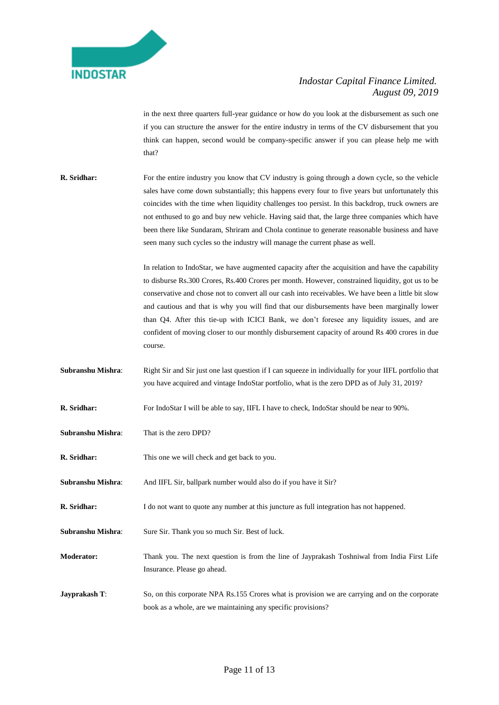

in the next three quarters full-year guidance or how do you look at the disbursement as such one if you can structure the answer for the entire industry in terms of the CV disbursement that you think can happen, second would be company-specific answer if you can please help me with that?

**R. Sridhar:** For the entire industry you know that CV industry is going through a down cycle, so the vehicle sales have come down substantially; this happens every four to five years but unfortunately this coincides with the time when liquidity challenges too persist. In this backdrop, truck owners are not enthused to go and buy new vehicle. Having said that, the large three companies which have been there like Sundaram, Shriram and Chola continue to generate reasonable business and have seen many such cycles so the industry will manage the current phase as well.

> In relation to IndoStar, we have augmented capacity after the acquisition and have the capability to disburse Rs.300 Crores, Rs.400 Crores per month. However, constrained liquidity, got us to be conservative and chose not to convert all our cash into receivables. We have been a little bit slow and cautious and that is why you will find that our disbursements have been marginally lower than Q4. After this tie-up with ICICI Bank, we don't foresee any liquidity issues, and are confident of moving closer to our monthly disbursement capacity of around Rs 400 crores in due course.

- **Subranshu Mishra:** Right Sir and Sir just one last question if I can squeeze in individually for your IIFL portfolio that you have acquired and vintage IndoStar portfolio, what is the zero DPD as of July 31, 2019?
- **R. Sridhar:** For IndoStar I will be able to say, IIFL I have to check, IndoStar should be near to 90%.
- **Subranshu Mishra**: That is the zero DPD?
- **R. Sridhar:** This one we will check and get back to you.
- **Subranshu Mishra**: And IIFL Sir, ballpark number would also do if you have it Sir?
- **R. Sridhar:** I do not want to quote any number at this juncture as full integration has not happened.
- Subranshu Mishra: Sure Sir. Thank you so much Sir. Best of luck.
- **Moderator:** Thank you. The next question is from the line of Jayprakash Toshniwal from India First Life Insurance. Please go ahead.
- **Jayprakash T:** So, on this corporate NPA Rs.155 Crores what is provision we are carrying and on the corporate book as a whole, are we maintaining any specific provisions?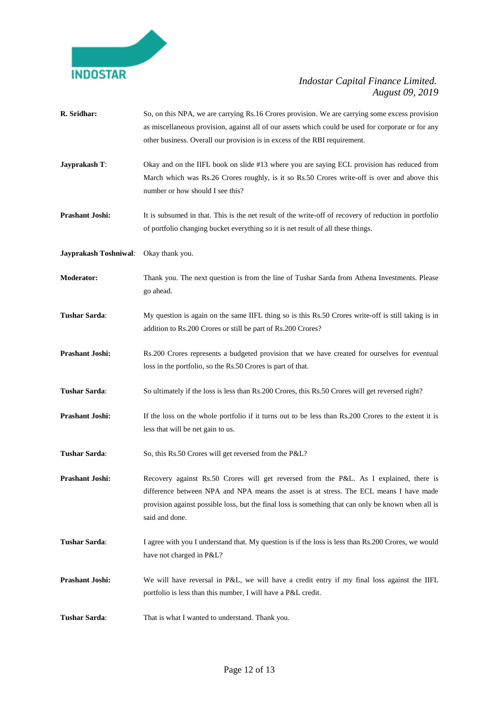

**R. Sridhar:** So, on this NPA, we are carrying Rs.16 Crores provision. We are carrying some excess provision as miscellaneous provision, against all of our assets which could be used for corporate or for any other business. Overall our provision is in excess of the RBI requirement. **Jayprakash T:** Okay and on the IIFL book on slide #13 where you are saying ECL provision has reduced from March which was Rs.26 Crores roughly, is it so Rs.50 Crores write-off is over and above this number or how should I see this? **Prashant Joshi:** It is subsumed in that. This is the net result of the write-off of recovery of reduction in portfolio of portfolio changing bucket everything so it is net result of all these things. **Jayprakash Toshniwal**: Okay thank you. **Moderator:** Thank you. The next question is from the line of Tushar Sarda from Athena Investments. Please go ahead. **Tushar Sarda**: My question is again on the same IIFL thing so is this Rs.50 Crores write-off is still taking is in addition to Rs.200 Crores or still be part of Rs.200 Crores? **Prashant Joshi:** Rs.200 Crores represents a budgeted provision that we have created for ourselves for eventual loss in the portfolio, so the Rs.50 Crores is part of that. **Tushar Sarda:** So ultimately if the loss is less than Rs.200 Crores, this Rs.50 Crores will get reversed right? **Prashant Joshi:** If the loss on the whole portfolio if it turns out to be less than Rs.200 Crores to the extent it is less that will be net gain to us. Tushar Sarda: So, this Rs.50 Crores will get reversed from the P&L? **Prashant Joshi:** Recovery against Rs.50 Crores will get reversed from the P&L. As I explained, there is difference between NPA and NPA means the asset is at stress. The ECL means I have made provision against possible loss, but the final loss is something that can only be known when all is said and done. **Tushar Sarda:** I agree with you I understand that. My question is if the loss is less than Rs.200 Crores, we would have not charged in P&L? **Prashant Joshi:** We will have reversal in P&L, we will have a credit entry if my final loss against the IIFL portfolio is less than this number, I will have a P&L credit. **Tushar Sarda:** That is what I wanted to understand. Thank you.